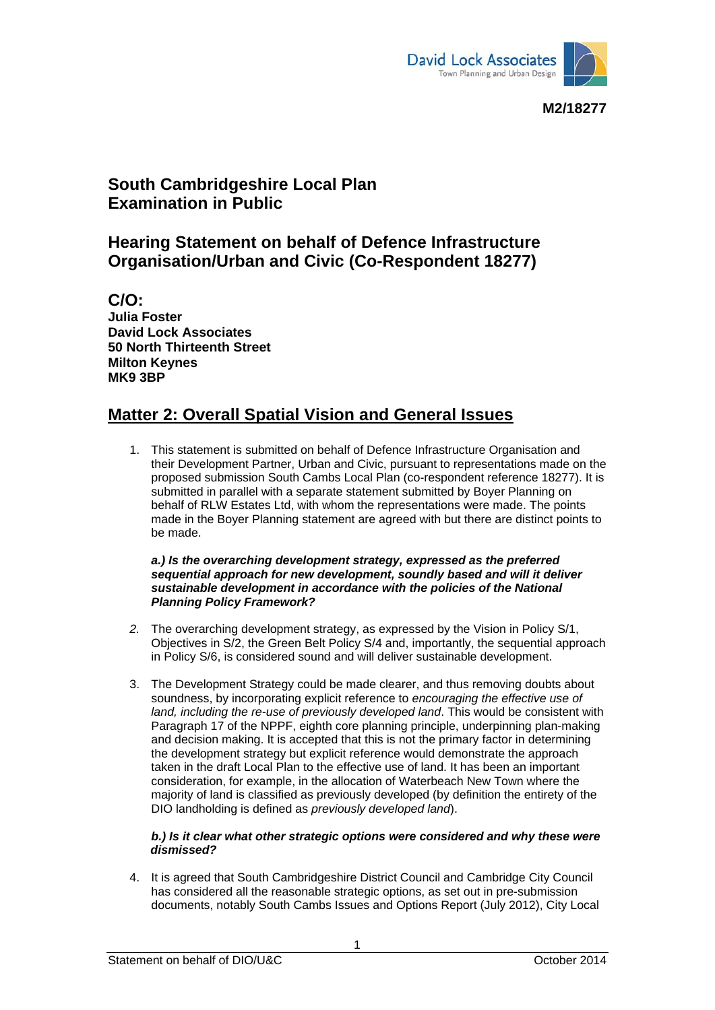

**M2/18277** 

## **South Cambridgeshire Local Plan Examination in Public**

## **Hearing Statement on behalf of Defence Infrastructure Organisation/Urban and Civic (Co-Respondent 18277)**

**C/O: Julia Foster David Lock Associates 50 North Thirteenth Street Milton Keynes MK9 3BP** 

# **Matter 2: Overall Spatial Vision and General Issues**

1. This statement is submitted on behalf of Defence Infrastructure Organisation and their Development Partner, Urban and Civic, pursuant to representations made on the proposed submission South Cambs Local Plan (co-respondent reference 18277). It is submitted in parallel with a separate statement submitted by Boyer Planning on behalf of RLW Estates Ltd, with whom the representations were made. The points made in the Boyer Planning statement are agreed with but there are distinct points to be made.

#### *a.) Is the overarching development strategy, expressed as the preferred sequential approach for new development, soundly based and will it deliver sustainable development in accordance with the policies of the National Planning Policy Framework?*

- *2.* The overarching development strategy, as expressed by the Vision in Policy S/1, Objectives in S/2, the Green Belt Policy S/4 and, importantly, the sequential approach in Policy S/6, is considered sound and will deliver sustainable development.
- 3. The Development Strategy could be made clearer, and thus removing doubts about soundness, by incorporating explicit reference to *encouraging the effective use of land, including the re-use of previously developed land*. This would be consistent with Paragraph 17 of the NPPF, eighth core planning principle, underpinning plan-making and decision making. It is accepted that this is not the primary factor in determining the development strategy but explicit reference would demonstrate the approach taken in the draft Local Plan to the effective use of land. It has been an important consideration, for example, in the allocation of Waterbeach New Town where the majority of land is classified as previously developed (by definition the entirety of the DIO landholding is defined as *previously developed land*).

### *b.) Is it clear what other strategic options were considered and why these were dismissed?*

4. It is agreed that South Cambridgeshire District Council and Cambridge City Council has considered all the reasonable strategic options, as set out in pre-submission documents, notably South Cambs Issues and Options Report (July 2012), City Local